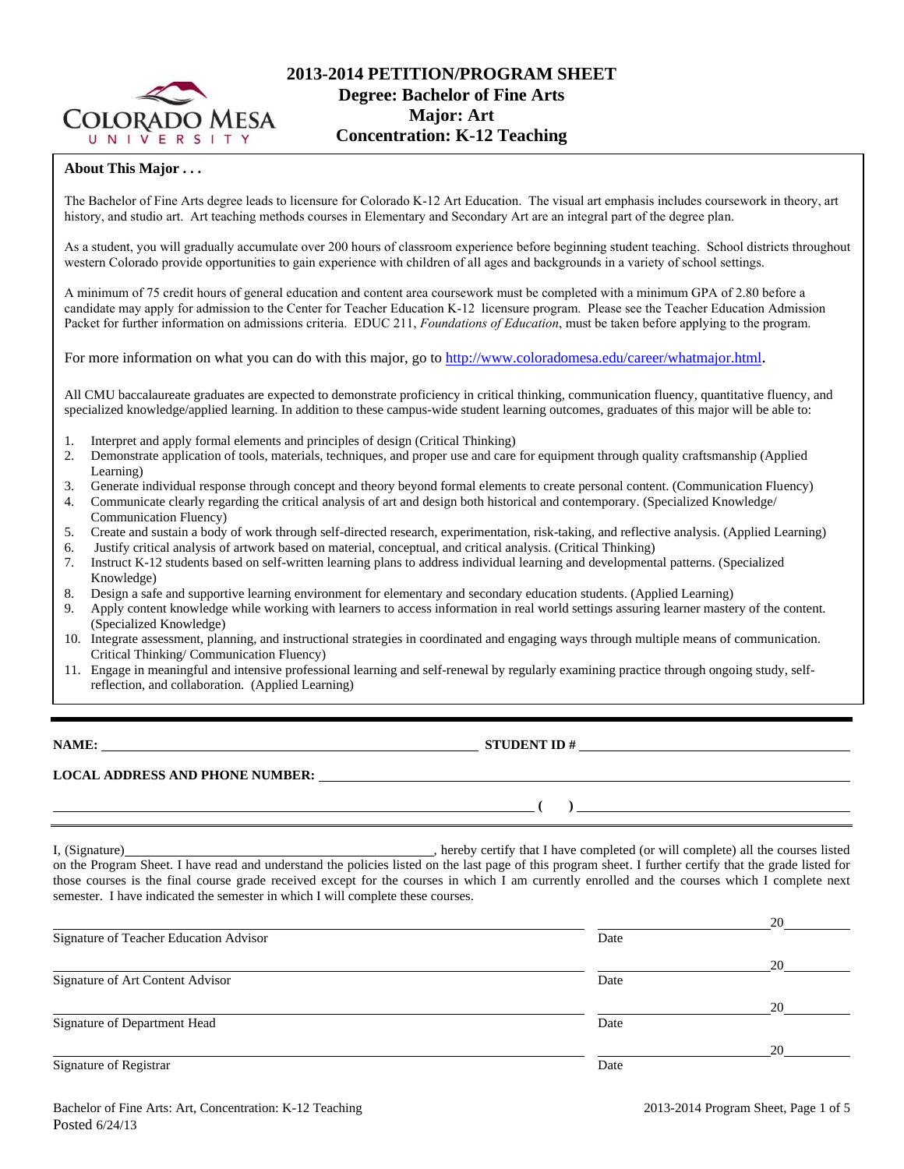

### **About This Major . . .**

The Bachelor of Fine Arts degree leads to licensure for Colorado K-12 Art Education. The visual art emphasis includes coursework in theory, art history, and studio art. Art teaching methods courses in Elementary and Secondary Art are an integral part of the degree plan.

As a student, you will gradually accumulate over 200 hours of classroom experience before beginning student teaching. School districts throughout western Colorado provide opportunities to gain experience with children of all ages and backgrounds in a variety of school settings.

A minimum of 75 credit hours of general education and content area coursework must be completed with a minimum GPA of 2.80 before a candidate may apply for admission to the Center for Teacher Education K-12 licensure program. Please see the Teacher Education Admission Packet for further information on admissions criteria. EDUC 211, *Foundations of Education*, must be taken before applying to the program.

For more information on what you can do with this major, go to<http://www.coloradomesa.edu/career/whatmajor.html>.

All CMU baccalaureate graduates are expected to demonstrate proficiency in critical thinking, communication fluency, quantitative fluency, and specialized knowledge/applied learning. In addition to these campus-wide student learning outcomes, graduates of this major will be able to:

- 1. Interpret and apply formal elements and principles of design (Critical Thinking)
- 2. Demonstrate application of tools, materials, techniques, and proper use and care for equipment through quality craftsmanship (Applied Learning)
- 3. Generate individual response through concept and theory beyond formal elements to create personal content. (Communication Fluency)
- 4. Communicate clearly regarding the critical analysis of art and design both historical and contemporary. (Specialized Knowledge/ Communication Fluency)
- 5. Create and sustain a body of work through self-directed research, experimentation, risk-taking, and reflective analysis. (Applied Learning) 6. Justify critical analysis of artwork based on material, conceptual, and critical analysis. (Critical Thinking)
- 7. Instruct K-12 students based on self-written learning plans to address individual learning and developmental patterns. (Specialized Knowledge)
- 8. Design a safe and supportive learning environment for elementary and secondary education students. (Applied Learning)
- 9. Apply content knowledge while working with learners to access information in real world settings assuring learner mastery of the content. (Specialized Knowledge)
- 10. Integrate assessment, planning, and instructional strategies in coordinated and engaging ways through multiple means of communication. Critical Thinking/ Communication Fluency)
- 11. Engage in meaningful and intensive professional learning and self-renewal by regularly examining practice through ongoing study, selfreflection, and collaboration. (Applied Learning)

**NAME: STUDENT ID # STUDENT ID # STUDENT ID # STUDENT ID # STUDENT ID # STUDENT ID # STUDENT ID # STUDENT ID # STUDENT ID # STUDENT ID # STUDENT ID # STUDENT ID # STUDENT ID # STUDENT ID # STU** 

**( )** 

# **LOCAL ADDRESS AND PHONE NUMBER:**

I, (Signature) , hereby certify that I have completed (or will complete) all the courses listed on the Program Sheet. I have read and understand the policies listed on the last page of this program sheet. I further certify that the grade listed for those courses is the final course grade received except for the courses in which I am currently enrolled and the courses which I complete next semester. I have indicated the semester in which I will complete these courses.

|                                        |      | 20 |
|----------------------------------------|------|----|
| Signature of Teacher Education Advisor | Date |    |
|                                        |      | 20 |
| Signature of Art Content Advisor       | Date |    |
|                                        |      | 20 |
| Signature of Department Head           | Date |    |
|                                        |      | 20 |
| Signature of Registrar                 | Date |    |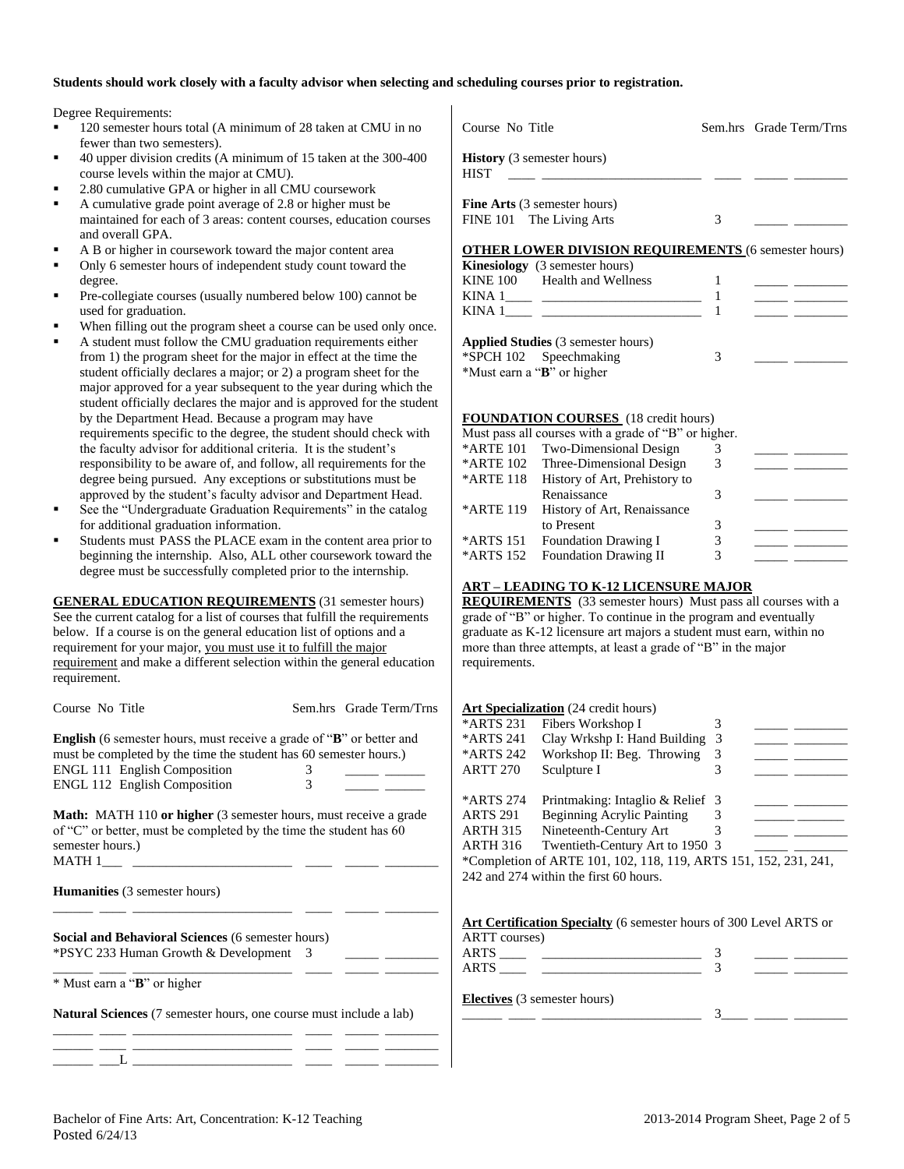#### **Students should work closely with a faculty advisor when selecting and scheduling courses prior to registration.**

Degree Requirements:

- 120 semester hours total (A minimum of 28 taken at CMU in no fewer than two semesters).
- 40 upper division credits (A minimum of 15 taken at the 300-400 course levels within the major at CMU).
- 2.80 cumulative GPA or higher in all CMU coursework
- A cumulative grade point average of 2.8 or higher must be maintained for each of 3 areas: content courses, education courses and overall GPA.
- A B or higher in coursework toward the major content area
- Only 6 semester hours of independent study count toward the degree.
- Pre-collegiate courses (usually numbered below 100) cannot be used for graduation.
- When filling out the program sheet a course can be used only once.
- A student must follow the CMU graduation requirements either from 1) the program sheet for the major in effect at the time the student officially declares a major; or 2) a program sheet for the major approved for a year subsequent to the year during which the student officially declares the major and is approved for the student by the Department Head. Because a program may have requirements specific to the degree, the student should check with the faculty advisor for additional criteria. It is the student's responsibility to be aware of, and follow, all requirements for the degree being pursued. Any exceptions or substitutions must be approved by the student's faculty advisor and Department Head.
- See the "Undergraduate Graduation Requirements" in the catalog for additional graduation information.
- Students must PASS the PLACE exam in the content area prior to beginning the internship. Also, ALL other coursework toward the degree must be successfully completed prior to the internship.

**GENERAL EDUCATION REQUIREMENTS** (31 semester hours) See the current catalog for a list of courses that fulfill the requirements below. If a course is on the general education list of options and a requirement for your major, you must use it to fulfill the major requirement and make a different selection within the general education requirement.

| Course No Title                                                                                                                                           | Sem.hrs Grade Term/Trns |
|-----------------------------------------------------------------------------------------------------------------------------------------------------------|-------------------------|
| <b>English</b> (6 semester hours, must receive a grade of " <b>B</b> " or better and<br>must be completed by the time the student has 60 semester hours.) |                         |
| <b>ENGL 111 English Composition</b>                                                                                                                       | 3                       |
| ENGL 112 English Composition                                                                                                                              | 3                       |
| <b>Math:</b> MATH 110 or higher (3 semester hours must receive a grade                                                                                    |                         |

**Math:** MATH 110 **or higher** (3 semester hours, must receive a grade of "C" or better, must be completed by the time the student has 60 semester hours.)  $MATH 1$ 

\_\_\_\_\_\_ \_\_\_\_ \_\_\_\_\_\_\_\_\_\_\_\_\_\_\_\_\_\_\_\_\_\_\_\_ \_\_\_\_ \_\_\_\_\_ \_\_\_\_\_\_\_\_

**Humanities** (3 semester hours)

**Social and Behavioral Sciences** (6 semester hours) \*PSYC 233 Human Growth & Development 3 \_\_\_\_\_ \_\_\_\_\_\_\_\_

\_\_\_\_\_\_ \_\_\_\_ \_\_\_\_\_\_\_\_\_\_\_\_\_\_\_\_\_\_\_\_\_\_\_\_ \_\_\_\_ \_\_\_\_\_ \_\_\_\_\_\_\_\_ \* Must earn a "**B**" or higher

**Natural Sciences** (7 semester hours, one course must include a lab)

| Course No Title                                                                                                                                                                                                                                            |   | Sem.hrs Grade Term/Trns |
|------------------------------------------------------------------------------------------------------------------------------------------------------------------------------------------------------------------------------------------------------------|---|-------------------------|
| <b>History</b> (3 semester hours)<br><b>HIST</b><br><u> 1980 - Jan Alexandria (</u>                                                                                                                                                                        |   |                         |
| <b>Fine Arts</b> (3 semester hours)<br>FINE 101 The Living Arts                                                                                                                                                                                            | 3 |                         |
| $\bf{D}$ $\bf{N}$ $\bf{N}$ $\bf{N}$ $\bf{D}$ $\bf{D}$ $\bf{D}$ $\bf{N}$ $\bf{D}$ $\bf{N}$ $\bf{N}$ $\bf{P}$ $\bf{N}$ $\bf{P}$ $\bf{C}$ $\bf{C}$ $\bf{C}$ $\bf{C}$ $\bf{C}$ $\bf{C}$ $\bf{C}$ $\bf{C}$ $\bf{C}$ $\bf{C}$ $\bf{C}$ $\bf{C}$ $\bf{C}$ $\bf{C$ |   |                         |

#### **OTHER LOWER DIVISION REQUIREMENTS** (6 semester hours)

| <b>Kinesiology</b> (3 semester hours) |  |  |
|---------------------------------------|--|--|
| KINE 100 Health and Wellness          |  |  |
|                                       |  |  |
| KINA 1                                |  |  |
|                                       |  |  |

| <b>Applied Studies</b> (3 semester hours) |  |  |
|-------------------------------------------|--|--|
| *SPCH 102 Speechmaking                    |  |  |
| *Must earn a " <b>B</b> " or higher       |  |  |

#### **FOUNDATION COURSES** (18 credit hours)

|           | Must pass all courses with a grade of "B" or higher. |   |  |
|-----------|------------------------------------------------------|---|--|
| *ARTE 101 | Two-Dimensional Design                               |   |  |
|           | *ARTE 102 Three-Dimensional Design                   |   |  |
| *ARTE 118 | History of Art, Prehistory to                        |   |  |
|           | Renaissance                                          |   |  |
| *ARTE 119 | History of Art, Renaissance                          |   |  |
|           | to Present                                           | 3 |  |
| *ARTS 151 | <b>Foundation Drawing I</b>                          | 3 |  |
| *ARTS 152 | <b>Foundation Drawing II</b>                         | 3 |  |
|           |                                                      |   |  |

#### **ART – LEADING TO K-12 LICENSURE MAJOR**

**REQUIREMENTS** (33 semester hours) Must pass all courses with a grade of "B" or higher. To continue in the program and eventually graduate as K-12 licensure art majors a student must earn, within no more than three attempts, at least a grade of "B" in the major requirements.

#### **Art Specialization** (24 credit hours)

| *ARTS 231       | Fibers Workshop I                                                |                |  |
|-----------------|------------------------------------------------------------------|----------------|--|
| *ARTS 241       | Clay Wrkshp I: Hand Building                                     | $\overline{3}$ |  |
| *ARTS 242       | Workshop II: Beg. Throwing                                       | 3              |  |
| <b>ARTT 270</b> | Sculpture I                                                      | 3              |  |
|                 |                                                                  |                |  |
| *ARTS 274       | Printmaking: Intaglio & Relief 3                                 |                |  |
| <b>ARTS 291</b> | <b>Beginning Acrylic Painting</b>                                |                |  |
| <b>ARTH 315</b> | Nineteenth-Century Art                                           |                |  |
| <b>ARTH 316</b> | Twentieth-Century Art to 1950 3                                  |                |  |
|                 | *Completion of ARTE 101, 102, 118, 119, ARTS 151, 152, 231, 241, |                |  |
|                 | 242 and 274 within the first 60 hours.                           |                |  |
|                 |                                                                  |                |  |

| Art Certification Specialty (6 semester hours of 300 Level ARTS or |  |
|--------------------------------------------------------------------|--|
| ARTT courses)                                                      |  |
| ARTS                                                               |  |
| ARTS                                                               |  |

**Electives** (3 semester hours)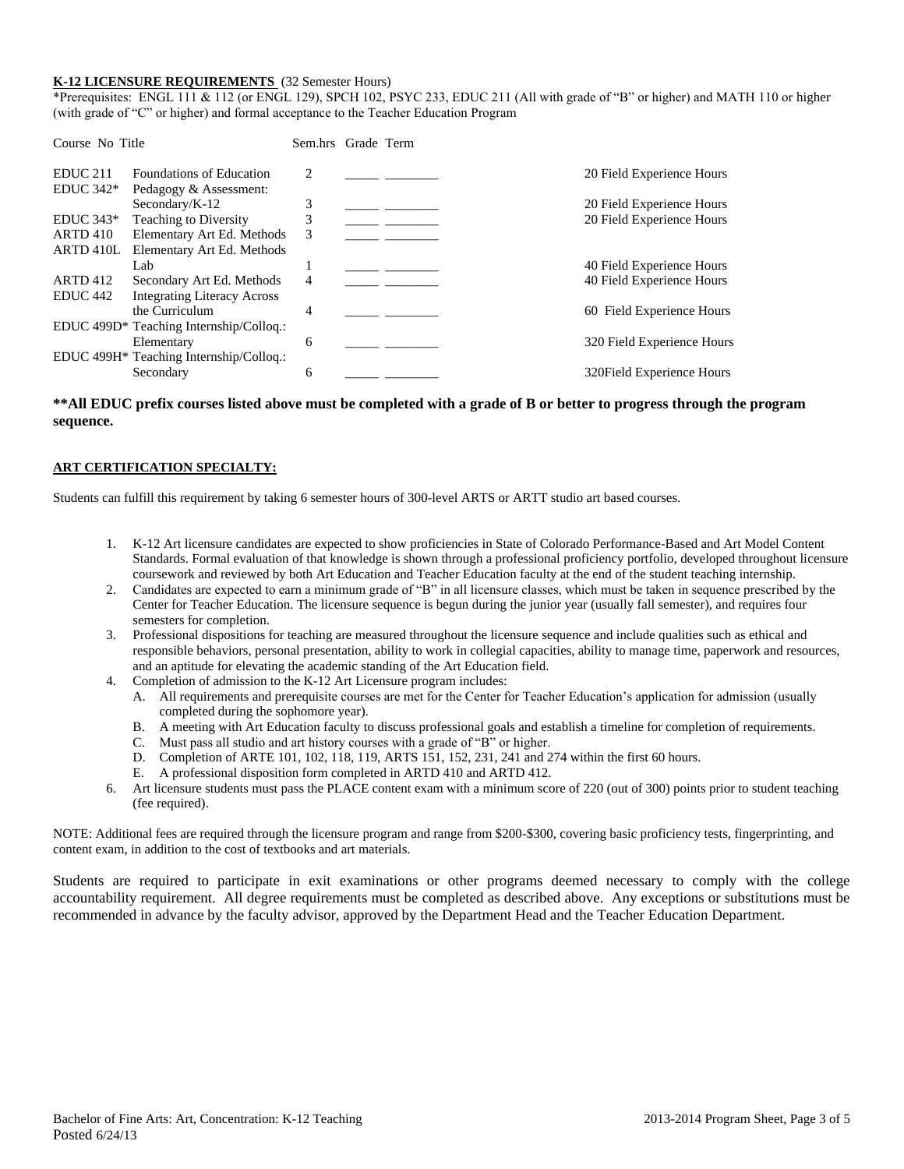#### **K-12 LICENSURE REQUIREMENTS** (32 Semester Hours)

\*Prerequisites: ENGL 111 & 112 (or ENGL 129), SPCH 102, PSYC 233, EDUC 211 (All with grade of "B" or higher) and MATH 110 or higher (with grade of "C" or higher) and formal acceptance to the Teacher Education Program

| Course No Title     |                                         | Sem.hrs Grade Term |  |                            |
|---------------------|-----------------------------------------|--------------------|--|----------------------------|
| <b>EDUC 211</b>     | Foundations of Education                | 2                  |  | 20 Field Experience Hours  |
| $EDUC 342*$         | Pedagogy & Assessment:                  |                    |  |                            |
|                     | Secondary/K-12                          | 3                  |  | 20 Field Experience Hours  |
| $EDUC 343*$         | <b>Teaching to Diversity</b>            | 3                  |  | 20 Field Experience Hours  |
| <b>ARTD 410</b>     | Elementary Art Ed. Methods              | 3                  |  |                            |
| ARTD 410L           | Elementary Art Ed. Methods              |                    |  |                            |
|                     | Lab                                     |                    |  | 40 Field Experience Hours  |
| <b>ARTD 412</b>     | Secondary Art Ed. Methods               | 4                  |  | 40 Field Experience Hours  |
| EDUC <sub>442</sub> | <b>Integrating Literacy Across</b>      |                    |  |                            |
|                     | the Curriculum                          | 4                  |  | 60 Field Experience Hours  |
|                     | EDUC 499D* Teaching Internship/Collog.: |                    |  |                            |
|                     | Elementary                              | 6                  |  | 320 Field Experience Hours |
|                     | EDUC 499H* Teaching Internship/Colloq.: |                    |  |                            |
|                     | Secondary                               | 6                  |  | 320 Field Experience Hours |

#### **\*\*All EDUC prefix courses listed above must be completed with a grade of B or better to progress through the program sequence.**

#### **ART CERTIFICATION SPECIALTY:**

Students can fulfill this requirement by taking 6 semester hours of 300-level ARTS or ARTT studio art based courses.

- 1. K-12 Art licensure candidates are expected to show proficiencies in State of Colorado Performance-Based and Art Model Content Standards. Formal evaluation of that knowledge is shown through a professional proficiency portfolio, developed throughout licensure coursework and reviewed by both Art Education and Teacher Education faculty at the end of the student teaching internship.
- 2. Candidates are expected to earn a minimum grade of "B" in all licensure classes, which must be taken in sequence prescribed by the Center for Teacher Education. The licensure sequence is begun during the junior year (usually fall semester), and requires four semesters for completion.
- 3. Professional dispositions for teaching are measured throughout the licensure sequence and include qualities such as ethical and responsible behaviors, personal presentation, ability to work in collegial capacities, ability to manage time, paperwork and resources, and an aptitude for elevating the academic standing of the Art Education field.
- 4. Completion of admission to the K-12 Art Licensure program includes:
	- A. All requirements and prerequisite courses are met for the Center for Teacher Education's application for admission (usually completed during the sophomore year).
	- B. A meeting with Art Education faculty to discuss professional goals and establish a timeline for completion of requirements.
	- C. Must pass all studio and art history courses with a grade of "B" or higher.
	- D. Completion of ARTE 101, 102, 118, 119, ARTS 151, 152, 231, 241 and 274 within the first 60 hours.
	- E. A professional disposition form completed in ARTD 410 and ARTD 412.
- 6. Art licensure students must pass the PLACE content exam with a minimum score of 220 (out of 300) points prior to student teaching (fee required).

NOTE: Additional fees are required through the licensure program and range from \$200-\$300, covering basic proficiency tests, fingerprinting, and content exam, in addition to the cost of textbooks and art materials.

Students are required to participate in exit examinations or other programs deemed necessary to comply with the college accountability requirement. All degree requirements must be completed as described above. Any exceptions or substitutions must be recommended in advance by the faculty advisor, approved by the Department Head and the Teacher Education Department.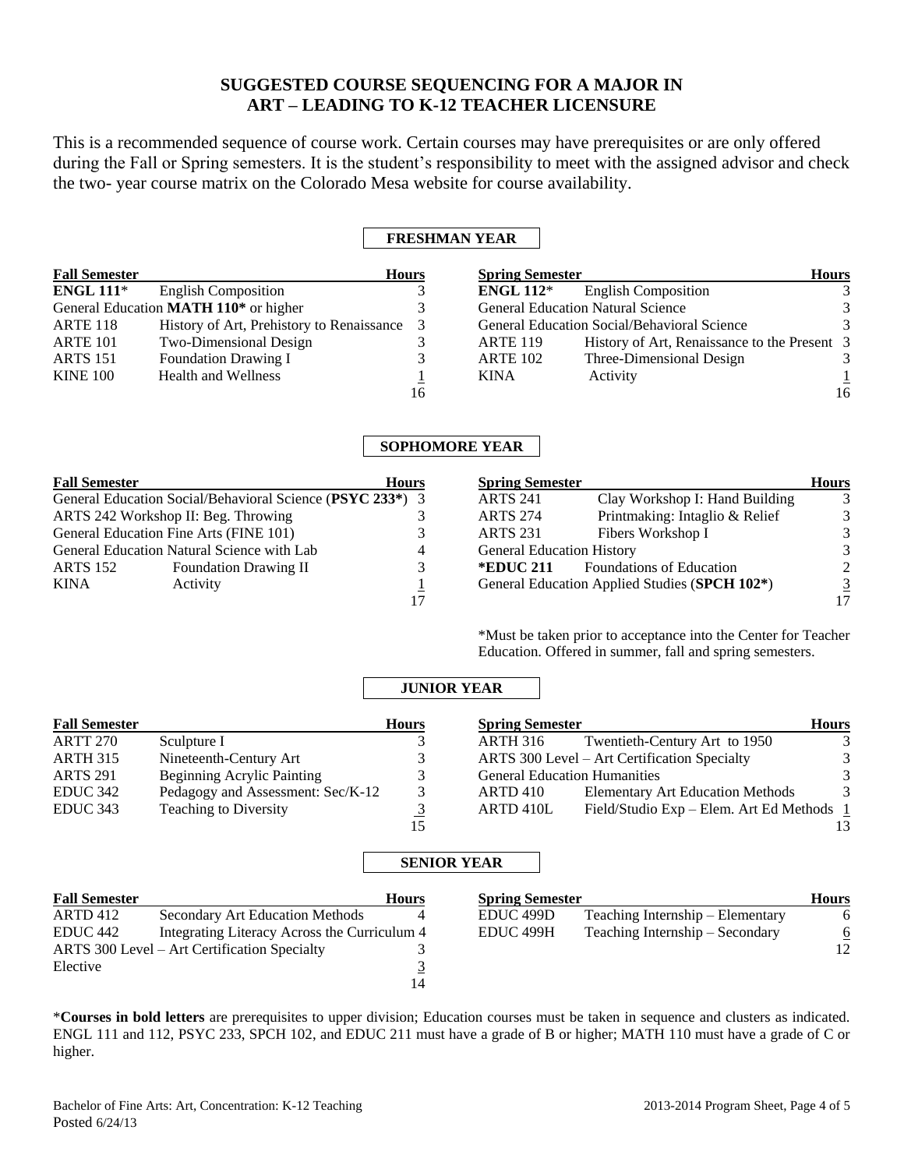## **SUGGESTED COURSE SEQUENCING FOR A MAJOR IN ART – LEADING TO K-12 TEACHER LICENSURE**

This is a recommended sequence of course work. Certain courses may have prerequisites or are only offered during the Fall or Spring semesters. It is the student's responsibility to meet with the assigned advisor and check the two- year course matrix on the Colorado Mesa website for course availability.

## **FRESHMAN YEAR**

| <b>Fall Semester</b> |                                                   | <b>Hours</b> | <b>Spring Semester</b>                   |                                              | <b>Hours</b>  |
|----------------------|---------------------------------------------------|--------------|------------------------------------------|----------------------------------------------|---------------|
| ENGL $111*$          | <b>English Composition</b>                        |              | ENGL $112^*$                             | <b>English Composition</b>                   | $\mathcal{R}$ |
|                      | General Education MATH 110 <sup>*</sup> or higher |              | <b>General Education Natural Science</b> |                                              |               |
| <b>ARTE 118</b>      | History of Art, Prehistory to Renaissance 3       |              |                                          | General Education Social/Behavioral Science  | $\mathcal{R}$ |
| <b>ARTE 101</b>      | Two-Dimensional Design                            |              | <b>ARTE 119</b>                          | History of Art, Renaissance to the Present 3 |               |
| <b>ARTS</b> 151      | <b>Foundation Drawing I</b>                       |              | <b>ARTE 102</b>                          | Three-Dimensional Design                     |               |
| <b>KINE 100</b>      | <b>Health and Wellness</b>                        |              | KINA                                     | Activity                                     |               |
|                      |                                                   | 16           |                                          |                                              | 16            |

## **SOPHOMORE YEAR**

| <b>Fall Semester</b>                   | <b>Hours</b>                                              |   |  |
|----------------------------------------|-----------------------------------------------------------|---|--|
|                                        | General Education Social/Behavioral Science (PSYC 233*) 3 |   |  |
|                                        | ARTS 242 Workshop II: Beg. Throwing                       |   |  |
| General Education Fine Arts (FINE 101) |                                                           |   |  |
|                                        | General Education Natural Science with Lab                | 4 |  |
| <b>ARTS 152</b>                        | <b>Foundation Drawing II</b>                              |   |  |
| <b>KINA</b>                            | Activity                                                  |   |  |
|                                        |                                                           |   |  |

| <b>Spring Semester</b>                                     |                                 | <b>Hours</b> |
|------------------------------------------------------------|---------------------------------|--------------|
| <b>ARTS 241</b>                                            | Clay Workshop I: Hand Building  |              |
| <b>ARTS 274</b>                                            | Printmaking: Intaglio & Relief  |              |
| <b>ARTS 231</b>                                            | Fibers Workshop I               |              |
| <b>General Education History</b>                           |                                 |              |
| *EDUC 211                                                  | <b>Foundations of Education</b> |              |
| General Education Applied Studies (SPCH 102 <sup>*</sup> ) |                                 |              |
|                                                            |                                 |              |

\*Must be taken prior to acceptance into the Center for Teacher Education. Offered in summer, fall and spring semesters.

## **JUNIOR YEAR**

| <b>Fall Semester</b> |                                   | <b>Hours</b> | <b>Spring Semester</b>                                   | <b>Hours</b> |
|----------------------|-----------------------------------|--------------|----------------------------------------------------------|--------------|
| ARTT 270             | Sculpture I                       |              | Twentieth-Century Art to 1950<br>ARTH 316                | 3            |
| ARTH 315             | Nineteenth-Century Art            |              | ARTS 300 Level - Art Certification Specialty             | 3            |
| <b>ARTS 291</b>      | <b>Beginning Acrylic Painting</b> |              | <b>General Education Humanities</b>                      | 3            |
| EDUC 342             | Pedagogy and Assessment: Sec/K-12 |              | <b>Elementary Art Education Methods</b><br>ARTD 410      | 3            |
| EDUC 343             | <b>Teaching to Diversity</b>      |              | Field/Studio Exp – Elem. Art Ed Methods $1$<br>ARTD 410L |              |
|                      |                                   | 15           |                                                          | 13.          |

#### **SENIOR YEAR**

| <b>Fall Semester</b> |                                              | <b>Hours</b> | <b>Spring Semester</b> |                                  | Hours    |
|----------------------|----------------------------------------------|--------------|------------------------|----------------------------------|----------|
| ARTD 412             | <b>Secondary Art Education Methods</b>       |              | EDUC 499D              | Teaching Internship – Elementary | 6        |
| EDUC 442             | Integrating Literacy Across the Curriculum 4 |              | EDUC 499H              | Teaching Internship – Secondary  | <u>6</u> |
|                      | ARTS 300 Level – Art Certification Specialty |              |                        |                                  | 12       |
| Elective             |                                              |              |                        |                                  |          |
|                      |                                              | 14           |                        |                                  |          |

\***Courses in bold letters** are prerequisites to upper division; Education courses must be taken in sequence and clusters as indicated. ENGL 111 and 112, PSYC 233, SPCH 102, and EDUC 211 must have a grade of B or higher; MATH 110 must have a grade of C or higher.